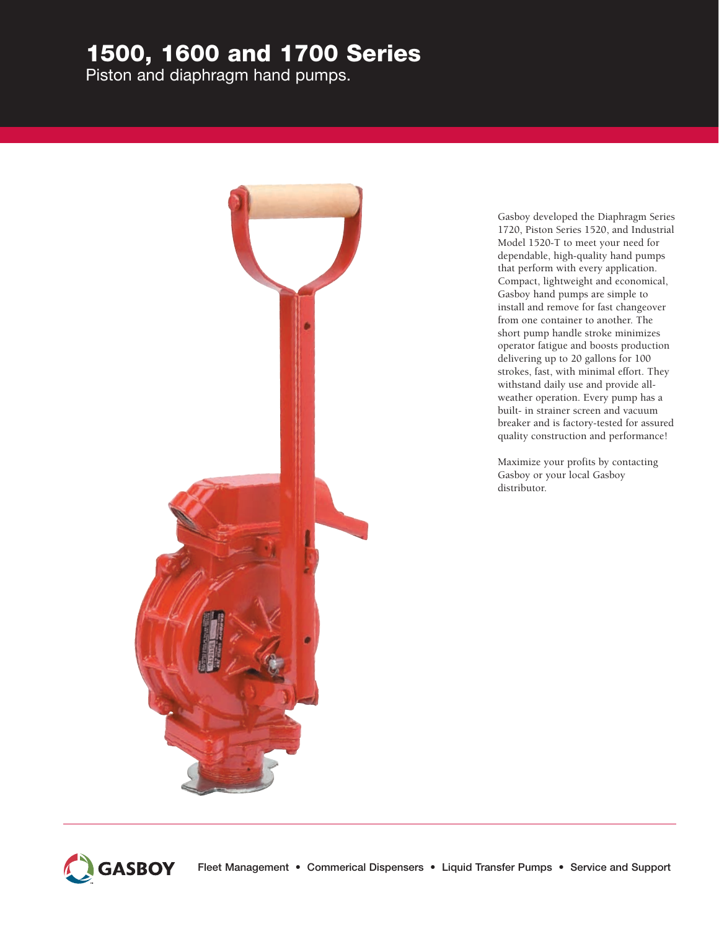# 1500, 1600 and 1700 Series

Piston and diaphragm hand pumps.



Gasboy developed the Diaphragm Series 1720, Piston Series 1520, and Industrial Model 1520-T to meet your need for dependable, high-quality hand pumps that perform with every application. Compact, lightweight and economical, Gasboy hand pumps are simple to install and remove for fast changeover from one container to another. The short pump handle stroke minimizes operator fatigue and boosts production delivering up to 20 gallons for 100 strokes, fast, with minimal effort. They withstand daily use and provide allweather operation. Every pump has a built- in strainer screen and vacuum breaker and is factory-tested for assured quality construction and performance!

Maximize your profits by contacting Gasboy or your local Gasboy distributor.